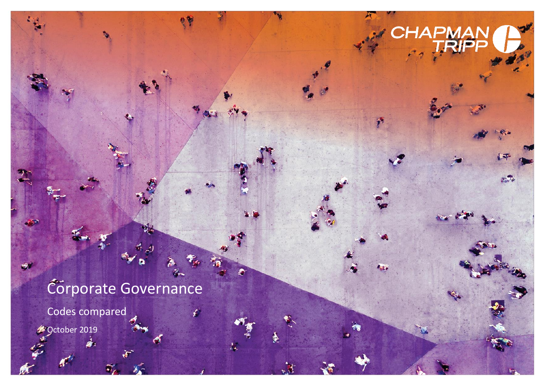# Corporate Governance

E.<br>Er

 $\mathcal{L}$ 

 $\blacklozenge$ 

Codes compared

å.

October 2019

100222228/1364879.2

 $\frac{1}{2}$ 

 $\triangleleft$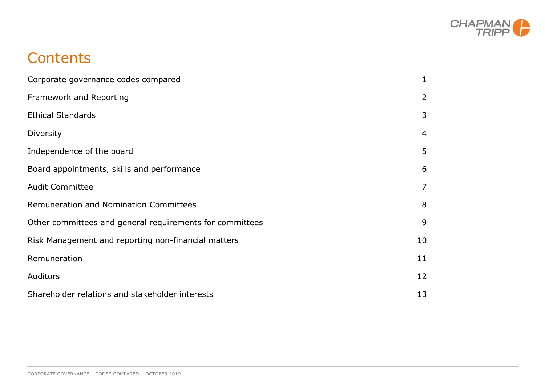

# **Contents**

| Corporate governance codes compared                      | 1              |
|----------------------------------------------------------|----------------|
| Framework and Reporting                                  | $\overline{2}$ |
| <b>Ethical Standards</b>                                 | 3              |
| Diversity                                                | 4              |
| Independence of the board                                | 5              |
| Board appointments, skills and performance               | 6              |
| <b>Audit Committee</b>                                   | 7              |
| Remuneration and Nomination Committees                   | 8              |
| Other committees and general requirements for committees | 9              |
| Risk Management and reporting non-financial matters      | 10             |
| Remuneration                                             | 11             |
| Auditors                                                 | 12             |
| Shareholder relations and stakeholder interests          | 13             |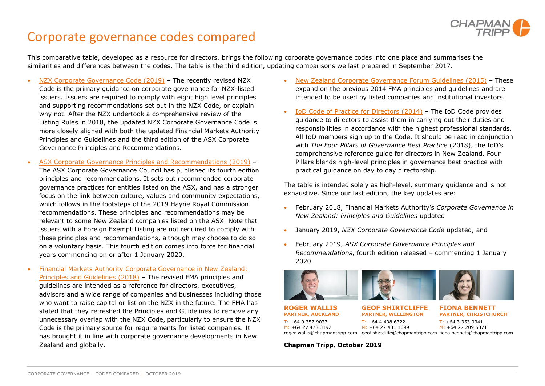

#### <span id="page-2-0"></span>Corporate governance codes compared

This comparative table, developed as a resource for directors, brings the following corporate governance codes into one place and summarises the similarities and differences between the codes. The table is the third edition, updating comparisons we last prepared in September 2017.

- [NZX Corporate Governance Code](https://www.chapmantripp.com/Publication%20PDFs/NZX%20LR%20Review%20-%20Appendix%201.pdf) (2019) The recently revised NZX Code is the primary guidance on corporate governance for NZX-listed issuers. Issuers are required to comply with eight high level principles and supporting recommendations set out in the NZX Code, or explain why not. After the NZX undertook a comprehensive review of the Listing Rules in 2018, the updated NZX Corporate Governance Code is more closely aligned with both the updated Financial Markets Authority Principles and Guidelines and the third edition of the ASX Corporate Governance Principles and Recommendations.
- [ASX Corporate Governance Principles and Recommendations](https://www.asx.com.au/documents/asx-compliance/cgc-principles-and-recommendations-fourth-edn.pdf) (2019) The ASX Corporate Governance Council has published its fourth edition principles and recommendations. It sets out recommended corporate governance practices for entities listed on the ASX, and has a stronger focus on the link between culture, values and community expectations, which follows in the footsteps of the 2019 Hayne Royal Commission recommendations. These principles and recommendations may be relevant to some New Zealand companies listed on the ASX. Note that issuers with a Foreign Exempt Listing are not required to comply with these principles and recommendations, although may choose to do so on a voluntary basis. This fourth edition comes into force for financial years commencing on or after 1 January 2020.
- [Financial Markets Authority Corporate Governance in New Zealand:](https://www.fma.govt.nz/assets/Reports/_versions/10539/180228-Corporate-Governance-Handbook-2018.1.pdf) [Principles and Guidelines](https://www.fma.govt.nz/assets/Reports/_versions/10539/180228-Corporate-Governance-Handbook-2018.1.pdf) (2018) – The revised FMA principles and guidelines are intended as a reference for directors, executives, advisors and a wide range of companies and businesses including those who want to raise capital or list on the NZX in the future. The FMA has stated that they refreshed the Principles and Guidelines to remove any unnecessary overlap with the NZX Code, particularly to ensure the NZX Code is the primary source for requirements for listed companies. It has brought it in line with corporate governance developments in New Zealand and globally.
- [New Zealand Corporate Governance Forum Guidelines](http://www.nzcgf.org.nz/assets/Uploads/guidelines/nzcgf-guidelines-july-2015.pdf) (2015) These expand on the previous 2014 FMA principles and guidelines and are intended to be used by listed companies and institutional investors.
- [IoD Code of Practice for Directors](https://www.iod.org.nz/Portals/0/Publications/Founding%20Docs/Code%20of%20Practice.pdf) (2014) The IoD Code provides guidance to directors to assist them in carrying out their duties and responsibilities in accordance with the highest professional standards. All IoD members sign up to the Code. It should be read in conjunction with *The Four Pillars of Governance Best Practice* (2018), the IoD's comprehensive reference guide for directors in New Zealand. Four Pillars blends high-level principles in governance best practice with practical guidance on day to day directorship.

The table is intended solely as high-level, summary guidance and is not exhaustive. Since our last edition, the key updates are:

- February 2018, Financial Markets Authority's *Corporate Governance in New Zealand: Principles and Guidelines* updated
- January 2019, *NZX Corporate Governance Code* updated, and
- February 2019, *ASX Corporate Governance Principles and Recommendations*, fourth edition released – commencing 1 January 2020.











**ROGER WALLIS PARTNER, AUCKLAND** T: +64 9 357 9077 M: +64 27 478 3192 roger.wallis@chapmantripp.com geof.shirtcliffe@chapmantripp.com fiona.bennett@chapmantripp.com

**GEOF SHIRTCLIFFE PARTNER, WELLINGTON**

T: +64 4 498 6322 M: +64 27 481 1699 **FIONA BENNETT PARTNER, CHRISTCHURCH**

T: +64 3 353 0341 M: +64 27 209 5871

**Chapman Tripp, October 2019**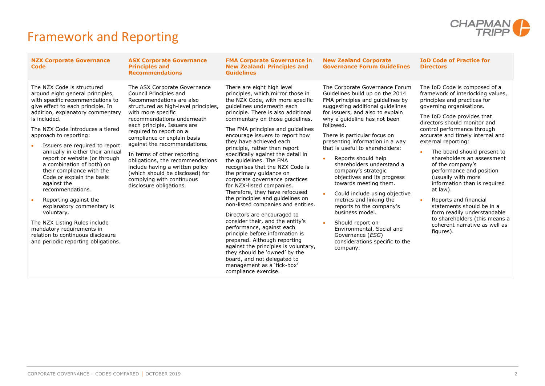

# <span id="page-3-0"></span>Framework and Reporting

| <b>NZX Corporate Governance</b><br><b>Code</b>                                                                                                                                                                                                                                                                                                                                                                                                                                                                                                                                                                                                                                                          | <b>ASX Corporate Governance</b><br><b>Principles and</b><br><b>Recommendations</b>                                                                                                                                                                                                                                                                                                                                                                                                                       | <b>FMA Corporate Governance in</b><br><b>New Zealand: Principles and</b><br><b>Guidelines</b>                                                                                                                                                                                                                                                                                                                                                                                                                                                                                                                                                                                                                                                                                                                                                                                                                                                                                              | <b>New Zealand Corporate</b><br><b>Governance Forum Guidelines</b>                                                                                                                                                                                                                                                                                                                                                                                                                                                                                                                                                                                                                                | <b>IoD Code of Practice for</b><br><b>Directors</b>                                                                                                                                                                                                                                                                                                                                                                                                                                                                                                                                                                                       |
|---------------------------------------------------------------------------------------------------------------------------------------------------------------------------------------------------------------------------------------------------------------------------------------------------------------------------------------------------------------------------------------------------------------------------------------------------------------------------------------------------------------------------------------------------------------------------------------------------------------------------------------------------------------------------------------------------------|----------------------------------------------------------------------------------------------------------------------------------------------------------------------------------------------------------------------------------------------------------------------------------------------------------------------------------------------------------------------------------------------------------------------------------------------------------------------------------------------------------|--------------------------------------------------------------------------------------------------------------------------------------------------------------------------------------------------------------------------------------------------------------------------------------------------------------------------------------------------------------------------------------------------------------------------------------------------------------------------------------------------------------------------------------------------------------------------------------------------------------------------------------------------------------------------------------------------------------------------------------------------------------------------------------------------------------------------------------------------------------------------------------------------------------------------------------------------------------------------------------------|---------------------------------------------------------------------------------------------------------------------------------------------------------------------------------------------------------------------------------------------------------------------------------------------------------------------------------------------------------------------------------------------------------------------------------------------------------------------------------------------------------------------------------------------------------------------------------------------------------------------------------------------------------------------------------------------------|-------------------------------------------------------------------------------------------------------------------------------------------------------------------------------------------------------------------------------------------------------------------------------------------------------------------------------------------------------------------------------------------------------------------------------------------------------------------------------------------------------------------------------------------------------------------------------------------------------------------------------------------|
| The NZX Code is structured<br>around eight general principles,<br>with specific recommendations to<br>give effect to each principle. In<br>addition, explanatory commentary<br>is included.<br>The NZX Code introduces a tiered<br>approach to reporting:<br>Issuers are required to report<br>annually in either their annual<br>report or website (or through<br>a combination of both) on<br>their compliance with the<br>Code or explain the basis<br>against the<br>recommendations.<br>Reporting against the<br>explanatory commentary is<br>voluntary.<br>The NZX Listing Rules include<br>mandatory requirements in<br>relation to continuous disclosure<br>and periodic reporting obligations. | The ASX Corporate Governance<br>Council Principles and<br>Recommendations are also<br>structured as high-level principles,<br>with more specific<br>recommendations underneath<br>each principle. Issuers are<br>required to report on a<br>compliance or explain basis<br>against the recommendations.<br>In terms of other reporting<br>obligations, the recommendations<br>include having a written policy<br>(which should be disclosed) for<br>complying with continuous<br>disclosure obligations. | There are eight high level<br>principles, which mirror those in<br>the NZX Code, with more specific<br>guidelines underneath each<br>principle. There is also additional<br>commentary on those guidelines.<br>The FMA principles and guidelines<br>encourage issuers to report how<br>they have achieved each<br>principle, rather than report<br>specifically against the detail in<br>the quidelines. The FMA<br>recognises that the NZX Code is<br>the primary guidance on<br>corporate governance practices<br>for NZX-listed companies.<br>Therefore, they have refocused<br>the principles and guidelines on<br>non-listed companies and entities.<br>Directors are encouraged to<br>consider their, and the entity's<br>performance, against each<br>principle before information is<br>prepared. Although reporting<br>against the principles is voluntary,<br>they should be 'owned' by the<br>board, and not delegated to<br>management as a 'tick-box'<br>compliance exercise. | The Corporate Governance Forum<br>Guidelines build up on the 2014<br>FMA principles and quidelines by<br>suggesting additional guidelines<br>for issuers, and also to explain<br>why a guideline has not been<br>followed.<br>There is particular focus on<br>presenting information in a way<br>that is useful to shareholders:<br>Reports should help<br>shareholders understand a<br>company's strategic<br>objectives and its progress<br>towards meeting them.<br>Could include using objective<br>metrics and linking the<br>reports to the company's<br>business model.<br>Should report on<br>Environmental, Social and<br>Governance (ESG)<br>considerations specific to the<br>company. | The IoD Code is composed of a<br>framework of interlocking values,<br>principles and practices for<br>governing organisations.<br>The IoD Code provides that<br>directors should monitor and<br>control performance through<br>accurate and timely internal and<br>external reporting:<br>The board should present to<br>shareholders an assessment<br>of the company's<br>performance and position<br>(usually with more<br>information than is required<br>at law).<br>Reports and financial<br>statements should be in a<br>form readily understandable<br>to shareholders (this means a<br>coherent narrative as well as<br>figures). |
|                                                                                                                                                                                                                                                                                                                                                                                                                                                                                                                                                                                                                                                                                                         |                                                                                                                                                                                                                                                                                                                                                                                                                                                                                                          |                                                                                                                                                                                                                                                                                                                                                                                                                                                                                                                                                                                                                                                                                                                                                                                                                                                                                                                                                                                            |                                                                                                                                                                                                                                                                                                                                                                                                                                                                                                                                                                                                                                                                                                   |                                                                                                                                                                                                                                                                                                                                                                                                                                                                                                                                                                                                                                           |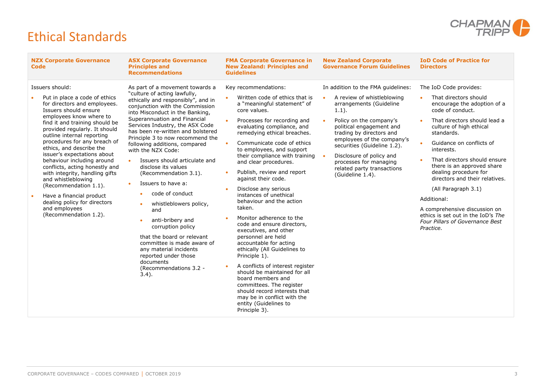

# <span id="page-4-0"></span>Ethical Standards

| <b>NZX Corporate Governance</b><br><b>Code</b>                                                                                                                                                                                                                                                                                                                                                                                                                                                                                                                                          | <b>ASX Corporate Governance</b><br><b>Principles and</b><br><b>Recommendations</b>                                                                                                                                                                                                                                                                                                                                                                                                                                                                                                                                                                                                                                                                               | <b>FMA Corporate Governance in</b><br><b>New Zealand: Principles and</b><br><b>Guidelines</b>                                                                                                                                                                                                                                                                                                                                                                                                                                                                                                                                                                                                                                                                                                                                                                                          | <b>New Zealand Corporate</b><br><b>Governance Forum Guidelines</b>                                                                                                                                                                                                                                                                                              | <b>IoD Code of Practice for</b><br><b>Directors</b>                                                                                                                                                                                                                                                                                                                                                                                                                                                         |
|-----------------------------------------------------------------------------------------------------------------------------------------------------------------------------------------------------------------------------------------------------------------------------------------------------------------------------------------------------------------------------------------------------------------------------------------------------------------------------------------------------------------------------------------------------------------------------------------|------------------------------------------------------------------------------------------------------------------------------------------------------------------------------------------------------------------------------------------------------------------------------------------------------------------------------------------------------------------------------------------------------------------------------------------------------------------------------------------------------------------------------------------------------------------------------------------------------------------------------------------------------------------------------------------------------------------------------------------------------------------|----------------------------------------------------------------------------------------------------------------------------------------------------------------------------------------------------------------------------------------------------------------------------------------------------------------------------------------------------------------------------------------------------------------------------------------------------------------------------------------------------------------------------------------------------------------------------------------------------------------------------------------------------------------------------------------------------------------------------------------------------------------------------------------------------------------------------------------------------------------------------------------|-----------------------------------------------------------------------------------------------------------------------------------------------------------------------------------------------------------------------------------------------------------------------------------------------------------------------------------------------------------------|-------------------------------------------------------------------------------------------------------------------------------------------------------------------------------------------------------------------------------------------------------------------------------------------------------------------------------------------------------------------------------------------------------------------------------------------------------------------------------------------------------------|
| Issuers should:<br>Put in place a code of ethics<br>for directors and employees.<br>Issuers should ensure<br>employees know where to<br>find it and training should be<br>provided regularly. It should<br>outline internal reporting<br>procedures for any breach of<br>ethics, and describe the<br>issuer's expectations about<br>behaviour including around<br>conflicts, acting honestly and<br>with integrity, handling gifts<br>and whistleblowing<br>(Recommendation 1.1).<br>Have a financial product<br>dealing policy for directors<br>and employees<br>(Recommendation 1.2). | As part of a movement towards a<br>"culture of acting lawfully,<br>ethically and responsibly", and in<br>conjunction with the Commission<br>into Misconduct in the Banking,<br>Superannuation and Financial<br>Services Industry, the ASX Code<br>has been re-written and bolstered<br>Principle 3 to now recommend the<br>following additions, compared<br>with the NZX Code:<br>Issuers should articulate and<br>disclose its values<br>(Recommendation 3.1).<br>Issuers to have a:<br>code of conduct<br>whistleblowers policy,<br>$\bullet$<br>and<br>anti-bribery and<br>corruption policy<br>that the board or relevant<br>committee is made aware of<br>any material incidents<br>reported under those<br>documents<br>(Recommendations 3.2 -<br>$3.4$ ). | Key recommendations:<br>Written code of ethics that is<br>a "meaningful statement" of<br>core values.<br>Processes for recording and<br>evaluating compliance, and<br>remedying ethical breaches.<br>Communicate code of ethics<br>to employees, and support<br>their compliance with training<br>and clear procedures.<br>Publish, review and report<br>against their code.<br>Disclose any serious<br>instances of unethical<br>behaviour and the action<br>taken.<br>Monitor adherence to the<br>code and ensure directors,<br>executives, and other<br>personnel are held<br>accountable for acting<br>ethically (All Guidelines to<br>Principle 1).<br>A conflicts of interest register<br>should be maintained for all<br>board members and<br>committees. The register<br>should record interests that<br>may be in conflict with the<br>entity (Guidelines to<br>Principle 3). | In addition to the FMA quidelines:<br>A review of whistleblowing<br>arrangements (Guideline<br>$1.1$ ).<br>Policy on the company's<br>political engagement and<br>trading by directors and<br>employees of the company's<br>securities (Guideline 1.2).<br>Disclosure of policy and<br>processes for managing<br>related party transactions<br>(Guideline 1.4). | The IoD Code provides:<br>That directors should<br>encourage the adoption of a<br>code of conduct.<br>That directors should lead a<br>culture of high ethical<br>standards.<br>Guidance on conflicts of<br>interests.<br>That directors should ensure<br>there is an approved share<br>dealing procedure for<br>directors and their relatives.<br>(All Paragraph 3.1)<br>Additional:<br>A comprehensive discussion on<br>ethics is set out in the IoD's The<br>Four Pillars of Governance Best<br>Practice. |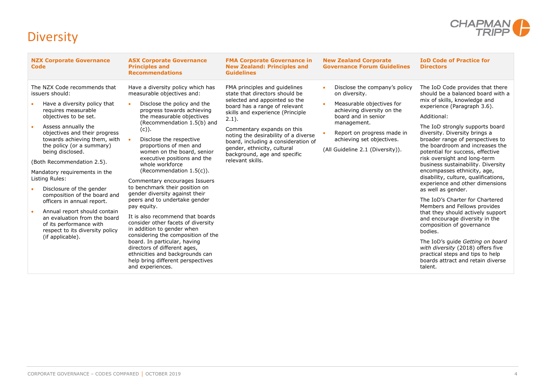

# <span id="page-5-0"></span>**Diversity**

| The NZX Code recommends that<br>Have a diversity policy which has<br>The IoD Code provides that there<br>FMA principles and quidelines<br>Disclose the company's policy<br>should be a balanced board with a<br>measurable objectives and:<br>state that directors should be<br>issuers should:<br>on diversity.<br>selected and appointed so the<br>mix of skills, knowledge and<br>Disclose the policy and the<br>Measurable objectives for<br>Have a diversity policy that<br>board has a range of relevant<br>experience (Paragraph 3.6).<br>achieving diversity on the<br>requires measurable<br>progress towards achieving<br>skills and experience (Principle<br>board and in senior<br>Additional:<br>objectives to be set.<br>the measurable objectives<br>$2.1$ ).<br>(Recommendation 1.5(b) and<br>management.<br>Assess annually the<br>The IoD strongly supports board<br>Commentary expands on this<br>$(c)$ ).<br>objectives and their progress<br>Report on progress made in<br>diversity. Diversity brings a<br>noting the desirability of a diverse<br>broader range of perspectives to<br>towards achieving them, with<br>Disclose the respective<br>achieving set objectives.<br>board, including a consideration of<br>the boardroom and increases the<br>the policy (or a summary)<br>proportions of men and<br>gender, ethnicity, cultural<br>(All Guideline 2.1 (Diversity)).<br>being disclosed.<br>women on the board, senior<br>potential for success, effective<br>background, age and specific<br>executive positions and the<br>risk oversight and long-term<br>relevant skills.<br>(Both Recommendation 2.5).<br>whole workforce<br>business sustainability. Diversity<br>(Recommendation $1.5(c)$ ).<br>encompasses ethnicity, age,<br>Mandatory requirements in the<br>disability, culture, qualifications,<br>Listing Rules:<br>Commentary encourages Issuers<br>experience and other dimensions<br>to benchmark their position on<br>Disclosure of the gender<br>as well as gender.<br>gender diversity against their<br>composition of the board and<br>peers and to undertake gender<br>The IoD's Charter for Chartered<br>officers in annual report.<br>Members and Fellows provides<br>pay equity.<br>Annual report should contain<br>that they should actively support<br>It is also recommend that boards<br>an evaluation from the board<br>and encourage diversity in the<br>consider other facets of diversity<br>of its performance with<br>composition of governance<br>in addition to gender when<br>respect to its diversity policy<br>bodies.<br>considering the composition of the<br>(if applicable).<br>board. In particular, having<br>The IoD's quide Getting on board<br>directors of different ages,<br>with diversity (2018) offers five<br>ethnicities and backgrounds can<br>practical steps and tips to help<br>help bring different perspectives<br>boards attract and retain diverse | <b>NZX Corporate Governance</b><br><b>Code</b> | <b>ASX Corporate Governance</b><br><b>Principles and</b><br><b>Recommendations</b> | <b>FMA Corporate Governance in</b><br><b>New Zealand: Principles and</b><br><b>Guidelines</b> | <b>New Zealand Corporate</b><br><b>Governance Forum Guidelines</b> | <b>IoD Code of Practice for</b><br><b>Directors</b> |
|----------------------------------------------------------------------------------------------------------------------------------------------------------------------------------------------------------------------------------------------------------------------------------------------------------------------------------------------------------------------------------------------------------------------------------------------------------------------------------------------------------------------------------------------------------------------------------------------------------------------------------------------------------------------------------------------------------------------------------------------------------------------------------------------------------------------------------------------------------------------------------------------------------------------------------------------------------------------------------------------------------------------------------------------------------------------------------------------------------------------------------------------------------------------------------------------------------------------------------------------------------------------------------------------------------------------------------------------------------------------------------------------------------------------------------------------------------------------------------------------------------------------------------------------------------------------------------------------------------------------------------------------------------------------------------------------------------------------------------------------------------------------------------------------------------------------------------------------------------------------------------------------------------------------------------------------------------------------------------------------------------------------------------------------------------------------------------------------------------------------------------------------------------------------------------------------------------------------------------------------------------------------------------------------------------------------------------------------------------------------------------------------------------------------------------------------------------------------------------------------------------------------------------------------------------------------------------------------------------------------------------------------------------------------------------------------------------------------------------------------------------------------------------------------------------------------------------------------------------------------------------------------------------------------------------------------------|------------------------------------------------|------------------------------------------------------------------------------------|-----------------------------------------------------------------------------------------------|--------------------------------------------------------------------|-----------------------------------------------------|
|                                                                                                                                                                                                                                                                                                                                                                                                                                                                                                                                                                                                                                                                                                                                                                                                                                                                                                                                                                                                                                                                                                                                                                                                                                                                                                                                                                                                                                                                                                                                                                                                                                                                                                                                                                                                                                                                                                                                                                                                                                                                                                                                                                                                                                                                                                                                                                                                                                                                                                                                                                                                                                                                                                                                                                                                                                                                                                                                                    |                                                | and experiences.                                                                   |                                                                                               |                                                                    | talent.                                             |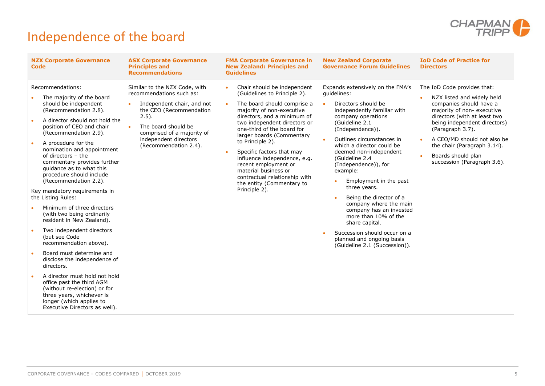

# <span id="page-6-0"></span>Independence of the board

| Recommendations:<br>Similar to the NZX Code, with<br>Chair should be independent<br>Expands extensively on the FMA's<br>The IoD Code provides that:<br>$\bullet$<br>recommendations such as:<br>(Guidelines to Principle 2).<br>quidelines:<br>The majority of the board<br>NZX listed and widely held<br>should be independent<br>Directors should be<br>The board should comprise a<br>companies should have a<br>Independent chair, and not<br>$\bullet$<br>(Recommendation 2.8).<br>the CEO (Recommendation<br>independently familiar with<br>majority of non-executive<br>majority of non-executive<br>directors, and a minimum of<br>directors (with at least two<br>$2.5$ ).<br>company operations<br>A director should not hold the<br>(Guideline 2.1<br>two independent directors or<br>being independent directors)<br>position of CEO and chair<br>The board should be<br>$\bullet$<br>one-third of the board for<br>(Paragraph 3.7).<br>(Independence)).<br>(Recommendation 2.9).<br>comprised of a majority of<br>larger boards (Commentary<br>independent directors<br>Outlines circumstances in<br>A CEO/MD should not also be<br>to Principle 2).<br>A procedure for the<br>(Recommendation 2.4).<br>which a director could be<br>the chair (Paragraph 3.14).<br>nomination and appointment<br>Specific factors that may<br>deemed non-independent<br>of directors - the<br>Boards should plan<br>influence independence, e.g.<br>(Guideline 2.4)<br>commentary provides further<br>succession (Paragraph 3.6).<br>recent employment or<br>(Independence)), for<br>guidance as to what this<br>material business or<br>example:<br>procedure should include<br>contractual relationship with<br>Employment in the past<br>(Recommendation 2.2).<br>the entity (Commentary to<br>three years.<br>Principle 2).<br>Key mandatory requirements in<br>the Listing Rules:<br>Being the director of a<br>company where the main<br>Minimum of three directors<br>company has an invested<br>(with two being ordinarily<br>more than 10% of the<br>resident in New Zealand).<br>share capital.<br>Two independent directors<br>Succession should occur on a<br>(but see Code<br>planned and ongoing basis<br>recommendation above).<br>(Guideline 2.1 (Succession)).<br>Board must determine and<br>disclose the independence of<br>directors.<br>A director must hold not hold<br>office past the third AGM<br>(without re-election) or for<br>three years, whichever is<br>longer (which applies to<br>Executive Directors as well). |
|-------------------------------------------------------------------------------------------------------------------------------------------------------------------------------------------------------------------------------------------------------------------------------------------------------------------------------------------------------------------------------------------------------------------------------------------------------------------------------------------------------------------------------------------------------------------------------------------------------------------------------------------------------------------------------------------------------------------------------------------------------------------------------------------------------------------------------------------------------------------------------------------------------------------------------------------------------------------------------------------------------------------------------------------------------------------------------------------------------------------------------------------------------------------------------------------------------------------------------------------------------------------------------------------------------------------------------------------------------------------------------------------------------------------------------------------------------------------------------------------------------------------------------------------------------------------------------------------------------------------------------------------------------------------------------------------------------------------------------------------------------------------------------------------------------------------------------------------------------------------------------------------------------------------------------------------------------------------------------------------------------------------------------------------------------------------------------------------------------------------------------------------------------------------------------------------------------------------------------------------------------------------------------------------------------------------------------------------------------------------------------------------------------------------------------------------------------------------------------------------------------------------------------------------------|
|                                                                                                                                                                                                                                                                                                                                                                                                                                                                                                                                                                                                                                                                                                                                                                                                                                                                                                                                                                                                                                                                                                                                                                                                                                                                                                                                                                                                                                                                                                                                                                                                                                                                                                                                                                                                                                                                                                                                                                                                                                                                                                                                                                                                                                                                                                                                                                                                                                                                                                                                                 |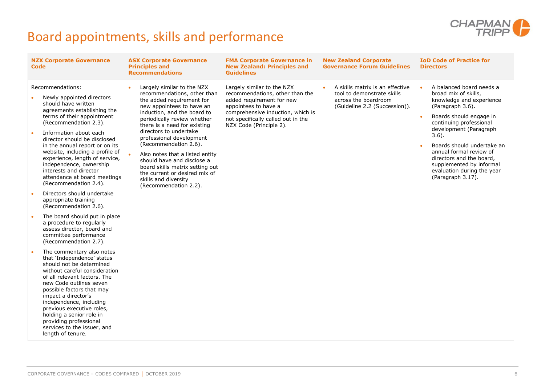

# <span id="page-7-0"></span>Board appointments, skills and performance

| <b>Code</b>            | <b>NZX Corporate Governance</b>                                                                                                                                                                                                                                                                                                                                                                                  | <b>ASX Corporate Governance</b><br><b>Principles and</b><br><b>Recommendations</b>                                                                                                                                                                                                                                                                                                                                                                            | <b>FMA Corporate Governance in</b><br><b>New Zealand: Principles and</b><br><b>Guidelines</b>                                                                                                                            | <b>New Zealand Corporate</b><br><b>Governance Forum Guidelines</b>                                                     | <b>IoD Code of Practice for</b><br><b>Directors</b>                                                                                                                                                                                                                                                                                                              |
|------------------------|------------------------------------------------------------------------------------------------------------------------------------------------------------------------------------------------------------------------------------------------------------------------------------------------------------------------------------------------------------------------------------------------------------------|---------------------------------------------------------------------------------------------------------------------------------------------------------------------------------------------------------------------------------------------------------------------------------------------------------------------------------------------------------------------------------------------------------------------------------------------------------------|--------------------------------------------------------------------------------------------------------------------------------------------------------------------------------------------------------------------------|------------------------------------------------------------------------------------------------------------------------|------------------------------------------------------------------------------------------------------------------------------------------------------------------------------------------------------------------------------------------------------------------------------------------------------------------------------------------------------------------|
| $\bullet$<br>$\bullet$ | Recommendations:<br>Newly appointed directors<br>should have written<br>agreements establishing the<br>terms of their appointment<br>(Recommendation 2.3).<br>Information about each<br>director should be disclosed<br>in the annual report or on its<br>website, including a profile of<br>experience, length of service,<br>independence, ownership<br>interests and director<br>attendance at board meetings | Largely similar to the NZX<br>recommendations, other than<br>the added requirement for<br>new appointees to have an<br>induction, and the board to<br>periodically review whether<br>there is a need for existing<br>directors to undertake<br>professional development<br>(Recommendation 2.6).<br>Also notes that a listed entity<br>should have and disclose a<br>board skills matrix setting out<br>the current or desired mix of<br>skills and diversity | Largely similar to the NZX<br>recommendations, other than the<br>added requirement for new<br>appointees to have a<br>comprehensive induction, which is<br>not specifically called out in the<br>NZX Code (Principle 2). | A skills matrix is an effective<br>tool to demonstrate skills<br>across the boardroom<br>(Guideline 2.2 (Succession)). | A balanced board needs a<br>broad mix of skills,<br>knowledge and experience<br>(Paragraph 3.6).<br>Boards should engage in<br>continuing professional<br>development (Paragraph<br>$3.6$ ).<br>Boards should undertake an<br>annual formal review of<br>directors and the board,<br>supplemented by informal<br>evaluation during the year<br>(Paragraph 3.17). |
| $\bullet$              | (Recommendation 2.4).<br>Directors should undertake<br>appropriate training<br>(Recommendation 2.6).                                                                                                                                                                                                                                                                                                             | (Recommendation 2.2).                                                                                                                                                                                                                                                                                                                                                                                                                                         |                                                                                                                                                                                                                          |                                                                                                                        |                                                                                                                                                                                                                                                                                                                                                                  |
| $\bullet$              | The board should put in place<br>a procedure to regularly<br>assess director, board and<br>committee performance<br>(Recommendation 2.7).                                                                                                                                                                                                                                                                        |                                                                                                                                                                                                                                                                                                                                                                                                                                                               |                                                                                                                                                                                                                          |                                                                                                                        |                                                                                                                                                                                                                                                                                                                                                                  |
| $\bullet$              | The commentary also notes<br>that 'Independence' status<br>should not be determined<br>without careful consideration<br>of all relevant factors. The<br>new Code outlines seven<br>possible factors that may<br>impact a director's<br>independence, including<br>previous executive roles,<br>holding a senior role in<br>providing professional<br>services to the issuer, and<br>length of tenure.            |                                                                                                                                                                                                                                                                                                                                                                                                                                                               |                                                                                                                                                                                                                          |                                                                                                                        |                                                                                                                                                                                                                                                                                                                                                                  |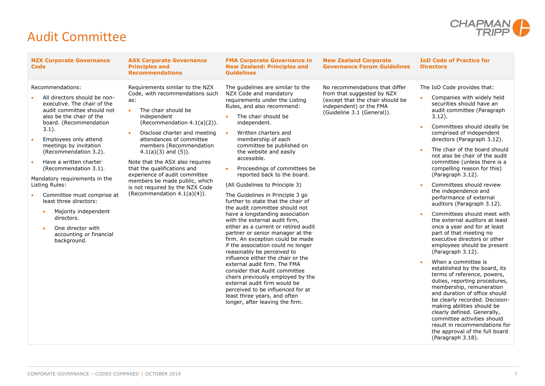

### <span id="page-8-0"></span>Audit Committee

| <b>NZX Corporate Governance</b><br><b>FMA Corporate Governance in</b><br><b>ASX Corporate Governance</b><br><b>Principles and</b><br><b>New Zealand: Principles and</b><br>Code<br><b>Recommendations</b><br><b>Guidelines</b>                                                                                                                                                                                                                                                                                                                                                                                                                                                                                                                                                                                                                                                                                                                                                                                                                                                                                                                                                                                                                                                                                                                                                                                                                                                                                                                                                                                                                                                                                                                                                                                                                                                                                                                                                                                                                                               | <b>New Zealand Corporate</b><br><b>Governance Forum Guidelines</b>                                                                                        | <b>IoD Code of Practice for</b><br><b>Directors</b>                                                                                                                                                                                                                                                                                                                                                                                                                                                                                                                                                                                                                                                                                                                                                                                                                                                                                                                                                                                                                                                                         |
|------------------------------------------------------------------------------------------------------------------------------------------------------------------------------------------------------------------------------------------------------------------------------------------------------------------------------------------------------------------------------------------------------------------------------------------------------------------------------------------------------------------------------------------------------------------------------------------------------------------------------------------------------------------------------------------------------------------------------------------------------------------------------------------------------------------------------------------------------------------------------------------------------------------------------------------------------------------------------------------------------------------------------------------------------------------------------------------------------------------------------------------------------------------------------------------------------------------------------------------------------------------------------------------------------------------------------------------------------------------------------------------------------------------------------------------------------------------------------------------------------------------------------------------------------------------------------------------------------------------------------------------------------------------------------------------------------------------------------------------------------------------------------------------------------------------------------------------------------------------------------------------------------------------------------------------------------------------------------------------------------------------------------------------------------------------------------|-----------------------------------------------------------------------------------------------------------------------------------------------------------|-----------------------------------------------------------------------------------------------------------------------------------------------------------------------------------------------------------------------------------------------------------------------------------------------------------------------------------------------------------------------------------------------------------------------------------------------------------------------------------------------------------------------------------------------------------------------------------------------------------------------------------------------------------------------------------------------------------------------------------------------------------------------------------------------------------------------------------------------------------------------------------------------------------------------------------------------------------------------------------------------------------------------------------------------------------------------------------------------------------------------------|
| Recommendations:<br>Requirements similar to the NZX<br>The guidelines are similar to the<br>Code, with recommendations such<br>NZX Code and mandatory<br>All directors should be non-<br>requirements under the Listing<br>as:<br>executive. The chair of the<br>Rules, and also recommend:<br>audit committee should not<br>The chair should be<br>also be the chair of the<br>independent<br>The chair should be<br>board. (Recommendation<br>(Recommendation 4.1(a)(2)).<br>independent.<br>$3.1$ ).<br>Disclose charter and meeting<br>Written charters and<br>attendances of committee<br>Employees only attend<br>membership of each<br>members (Recommendation<br>committee be published on<br>meetings by invitation<br>(Recommendation 3.2).<br>$4.1(a)(3)$ and $(5)$ ).<br>the website and easily<br>accessible.<br>Have a written charter<br>Note that the ASX also requires<br>Proceedings of committees be<br>that the qualifications and<br>(Recommendation 3.1).<br>experience of audit committee<br>reported back to the board.<br>Mandatory requirements in the<br>members be made public, which<br>Listing Rules:<br>(All Guidelines to Principle 3)<br>is not required by the NZX Code<br>(Recommendation $4.1(a)(4)$ ).<br>Committee must comprise at<br>The Guidelines in Principle 3 go<br>least three directors:<br>further to state that the chair of<br>the audit committee should not<br>Majority independent<br>have a longstanding association<br>directors.<br>with the external audit firm,<br>either as a current or retired audit<br>One director with<br>$\bullet$<br>partner or senior manager at the<br>accounting or financial<br>firm. An exception could be made<br>background.<br>if the association could no longer<br>reasonably be perceived to<br>influence either the chair or the<br>external audit firm. The FMA<br>consider that Audit committee<br>chairs previously employed by the<br>external audit firm would be<br>perceived to be influenced for at<br>least three years, and often<br>longer, after leaving the firm. | No recommendations that differ<br>from that suggested by NZX<br>(except that the chair should be<br>independent) or the FMA<br>(Guideline 3.1 (General)). | The IoD Code provides that:<br>Companies with widely held<br>securities should have an<br>audit committee (Paragraph<br>$3.12$ ).<br>Committees should ideally be<br>comprised of independent<br>directors (Paragraph 3.12).<br>The chair of the board should<br>not also be chair of the audit<br>committee (unless there is a<br>compelling reason for this)<br>(Paragraph 3.12).<br>Committees should review<br>the independence and<br>performance of external<br>auditors (Paragraph 3.12).<br>Committees should meet with<br>the external auditors at least<br>once a year and for at least<br>part of that meeting no<br>executive directors or other<br>employees should be present<br>(Paragraph 3.12).<br>When a committee is<br>established by the board, its<br>terms of reference, powers,<br>duties, reporting procedures,<br>membership, remuneration<br>and duration of office should<br>be clearly recorded. Decision-<br>making abilities should be<br>clearly defined. Generally,<br>committee activities should<br>result in recommendations for<br>the approval of the full board<br>(Paragraph 3.18). |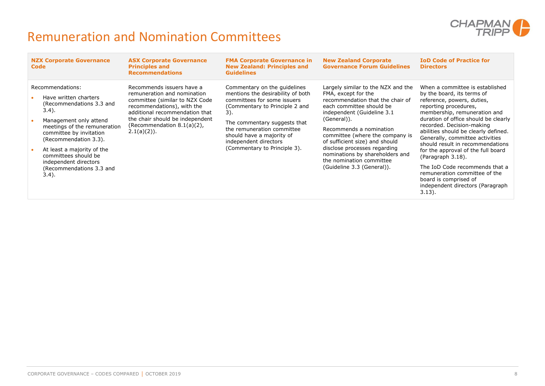

### <span id="page-9-0"></span>Remuneration and Nomination Committees

| <b>NZX Corporate Governance</b><br>Code                                                                                                                                                                                                                                                                                                                    | <b>ASX Corporate Governance</b><br><b>Principles and</b><br><b>Recommendations</b>                                                                                                                                                            | <b>FMA Corporate Governance in</b><br><b>New Zealand: Principles and</b><br><b>Guidelines</b>                                                                                                                                                                                                 | <b>New Zealand Corporate</b><br><b>Governance Forum Guidelines</b>                                                                                                                                                                                                                                                                                                                                   | <b>IoD Code of Practice for</b><br><b>Directors</b>                                                                                                                                                                                                                                                                                                                                                                                                                                                                                              |
|------------------------------------------------------------------------------------------------------------------------------------------------------------------------------------------------------------------------------------------------------------------------------------------------------------------------------------------------------------|-----------------------------------------------------------------------------------------------------------------------------------------------------------------------------------------------------------------------------------------------|-----------------------------------------------------------------------------------------------------------------------------------------------------------------------------------------------------------------------------------------------------------------------------------------------|------------------------------------------------------------------------------------------------------------------------------------------------------------------------------------------------------------------------------------------------------------------------------------------------------------------------------------------------------------------------------------------------------|--------------------------------------------------------------------------------------------------------------------------------------------------------------------------------------------------------------------------------------------------------------------------------------------------------------------------------------------------------------------------------------------------------------------------------------------------------------------------------------------------------------------------------------------------|
| Recommendations:<br>Have written charters<br>$\bullet$<br>(Recommendations 3.3 and<br>3.4).<br>Management only attend<br>$\bullet$<br>meetings of the remuneration<br>committee by invitation<br>(Recommendation 3.3).<br>At least a majority of the<br>$\bullet$<br>committees should be<br>independent directors<br>(Recommendations 3.3 and<br>$3.4$ ). | Recommends issuers have a<br>remuneration and nomination<br>committee (similar to NZX Code<br>recommendations), with the<br>additional recommendation that<br>the chair should be independent<br>(Recommendation 8.1(a)(2),<br>$2.1(a)(2)$ ). | Commentary on the quidelines<br>mentions the desirability of both<br>committees for some issuers<br>(Commentary to Principle 2 and<br>3).<br>The commentary suggests that<br>the remuneration committee<br>should have a majority of<br>independent directors<br>(Commentary to Principle 3). | Largely similar to the NZX and the<br>FMA, except for the<br>recommendation that the chair of<br>each committee should be<br>independent (Guideline 3.1)<br>(General)).<br>Recommends a nomination<br>committee (where the company is<br>of sufficient size) and should<br>disclose processes regarding<br>nominations by shareholders and<br>the nomination committee<br>(Guideline 3.3 (General)). | When a committee is established<br>by the board, its terms of<br>reference, powers, duties,<br>reporting procedures,<br>membership, remuneration and<br>duration of office should be clearly<br>recorded. Decision-making<br>abilities should be clearly defined.<br>Generally, committee activities<br>should result in recommendations<br>for the approval of the full board<br>(Paragraph 3.18).<br>The IoD Code recommends that a<br>remuneration committee of the<br>board is comprised of<br>independent directors (Paragraph<br>$3.13$ ). |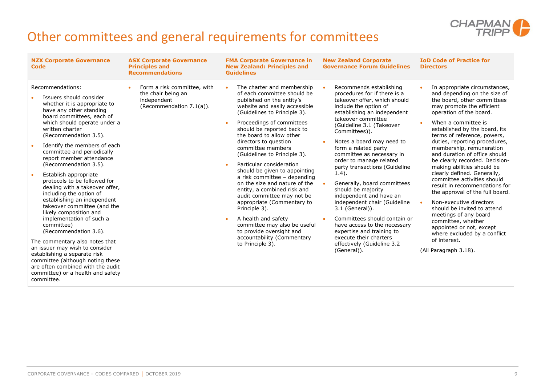

# <span id="page-10-0"></span>Other committees and general requirements for committees

| <b>NZX Corporate Governance</b><br>Code                                                                                                                                                                                                                                                                                                                                                                                                                                                                                                                                                                                                                                                                                                                                                                                                             | <b>ASX Corporate Governance</b><br><b>Principles and</b><br><b>Recommendations</b>           | <b>FMA Corporate Governance in</b><br><b>New Zealand: Principles and</b><br><b>Guidelines</b>                                                                                                                                                                                                                                                                                                                                                                                                                                                                                                                                                                                                                                                      | <b>New Zealand Corporate</b><br><b>Governance Forum Guidelines</b>                                                                                                                                                                                                                                                                                                                                                                                                                                                                                                                                                                                                                  | <b>IoD Code of Practice for</b><br><b>Directors</b>                                                                                                                                                                                                                                                                                                                                                                                                                                                                                                                                                                                                                                                                                                                                 |
|-----------------------------------------------------------------------------------------------------------------------------------------------------------------------------------------------------------------------------------------------------------------------------------------------------------------------------------------------------------------------------------------------------------------------------------------------------------------------------------------------------------------------------------------------------------------------------------------------------------------------------------------------------------------------------------------------------------------------------------------------------------------------------------------------------------------------------------------------------|----------------------------------------------------------------------------------------------|----------------------------------------------------------------------------------------------------------------------------------------------------------------------------------------------------------------------------------------------------------------------------------------------------------------------------------------------------------------------------------------------------------------------------------------------------------------------------------------------------------------------------------------------------------------------------------------------------------------------------------------------------------------------------------------------------------------------------------------------------|-------------------------------------------------------------------------------------------------------------------------------------------------------------------------------------------------------------------------------------------------------------------------------------------------------------------------------------------------------------------------------------------------------------------------------------------------------------------------------------------------------------------------------------------------------------------------------------------------------------------------------------------------------------------------------------|-------------------------------------------------------------------------------------------------------------------------------------------------------------------------------------------------------------------------------------------------------------------------------------------------------------------------------------------------------------------------------------------------------------------------------------------------------------------------------------------------------------------------------------------------------------------------------------------------------------------------------------------------------------------------------------------------------------------------------------------------------------------------------------|
| Recommendations:<br>Issuers should consider<br>whether it is appropriate to<br>have any other standing<br>board committees, each of<br>which should operate under a<br>written charter<br>(Recommendation 3.5).<br>Identify the members of each<br>committee and periodically<br>report member attendance<br>(Recommendation 3.5).<br>Establish appropriate<br>protocols to be followed for<br>dealing with a takeover offer,<br>including the option of<br>establishing an independent<br>takeover committee (and the<br>likely composition and<br>implementation of such a<br>committee)<br>(Recommendation 3.6).<br>The commentary also notes that<br>an issuer may wish to consider<br>establishing a separate risk<br>committee (although noting these<br>are often combined with the audit<br>committee) or a health and safety<br>committee. | Form a risk committee, with<br>the chair being an<br>independent<br>(Recommendation 7.1(a)). | The charter and membership<br>of each committee should be<br>published on the entity's<br>website and easily accessible<br>(Guidelines to Principle 3).<br>Proceedings of committees<br>$\bullet$<br>should be reported back to<br>the board to allow other<br>directors to question<br>committee members<br>(Guidelines to Principle 3).<br>Particular consideration<br>$\bullet$<br>should be given to appointing<br>a risk committee - depending<br>on the size and nature of the<br>entity, a combined risk and<br>audit committee may not be<br>appropriate (Commentary to<br>Principle 3).<br>A health and safety<br>$\bullet$<br>committee may also be useful<br>to provide oversight and<br>accountability (Commentary<br>to Principle 3). | Recommends establishing<br>procedures for if there is a<br>takeover offer, which should<br>include the option of<br>establishing an independent<br>takeover committee<br>(Guideline 3.1 (Takeover<br>Committees)).<br>Notes a board may need to<br>form a related party<br>committee as necessary in<br>order to manage related<br>party transactions (Guideline<br>$1.4$ ).<br>Generally, board committees<br>should be majority<br>independent and have an<br>independent chair (Guideline<br>3.1 (General)).<br>Committees should contain or<br>have access to the necessary<br>expertise and training to<br>execute their charters<br>effectively (Guideline 3.2<br>(General)). | In appropriate circumstances,<br>$\bullet$<br>and depending on the size of<br>the board, other committees<br>may promote the efficient<br>operation of the board.<br>When a committee is<br>$\bullet$<br>established by the board, its<br>terms of reference, powers,<br>duties, reporting procedures,<br>membership, remuneration<br>and duration of office should<br>be clearly recorded. Decision-<br>making abilities should be<br>clearly defined. Generally,<br>committee activities should<br>result in recommendations for<br>the approval of the full board.<br>Non-executive directors<br>should be invited to attend<br>meetings of any board<br>committee, whether<br>appointed or not, except<br>where excluded by a conflict<br>of interest.<br>(All Paragraph 3.18). |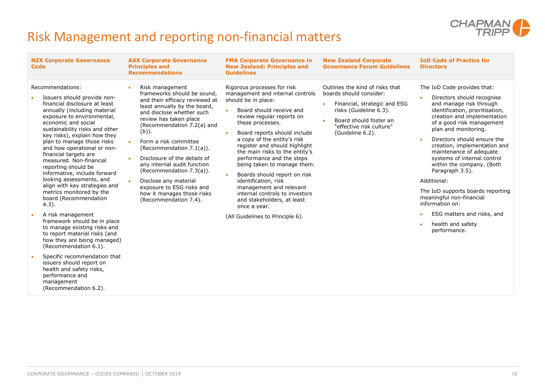

# <span id="page-11-0"></span>Risk Management and reporting non-financial matters

|           | <b>NZX Corporate Governance</b><br>Code                                                                                                                                                                                                                                                                                                                                                                                                                                                                                                       | <b>ASX Corporate Governance</b><br><b>Principles and</b><br><b>Recommendations</b>                                                                                                                                                                                                                                                                                                                                                                                             | <b>FMA Corporate Governance in</b><br><b>New Zealand: Principles and</b><br><b>Guidelines</b>                                                                                                                                                                                                                                                                                                                                                                                                                                                                  | <b>New Zealand Corporate</b><br><b>Governance Forum Guidelines</b>                                                                                                                             | <b>IoD Code of Practice for</b><br><b>Directors</b>                                                                                                                                                                                                                                                                                                                                                                                                                                                  |
|-----------|-----------------------------------------------------------------------------------------------------------------------------------------------------------------------------------------------------------------------------------------------------------------------------------------------------------------------------------------------------------------------------------------------------------------------------------------------------------------------------------------------------------------------------------------------|--------------------------------------------------------------------------------------------------------------------------------------------------------------------------------------------------------------------------------------------------------------------------------------------------------------------------------------------------------------------------------------------------------------------------------------------------------------------------------|----------------------------------------------------------------------------------------------------------------------------------------------------------------------------------------------------------------------------------------------------------------------------------------------------------------------------------------------------------------------------------------------------------------------------------------------------------------------------------------------------------------------------------------------------------------|------------------------------------------------------------------------------------------------------------------------------------------------------------------------------------------------|------------------------------------------------------------------------------------------------------------------------------------------------------------------------------------------------------------------------------------------------------------------------------------------------------------------------------------------------------------------------------------------------------------------------------------------------------------------------------------------------------|
|           | Recommendations:<br>Issuers should provide non-<br>financial disclosure at least<br>annually (including material<br>exposure to environmental,<br>economic and social<br>sustainability risks and other<br>key risks), explain how they<br>plan to manage those risks<br>and how operational or non-<br>financial targets are<br>measured. Non-financial<br>reporting should be<br>informative, include forward<br>looking assessments, and<br>align with key strategies and<br>metrics monitored by the<br>board (Recommendation<br>$4.3$ ). | Risk management<br>frameworks should be sound.<br>and their efficacy reviewed at<br>least annually by the board,<br>and disclose whether such<br>review has taken place<br>(Recommendation 7.2(a) and<br>$(b)$ ).<br>Form a risk committee<br>(Recommendation 7.1(a)).<br>Disclosure of the details of<br>any internal audit function<br>(Recommendation 7.3(a)).<br>Disclose any material<br>exposure to ESG risks and<br>how it manages those risks<br>(Recommendation 7.4). | Rigorous processes for risk<br>management and internal controls<br>should be in place:<br>Board should receive and<br>review regular reports on<br>these processes.<br>Board reports should include<br>$\bullet$<br>a copy of the entity's risk<br>register and should highlight<br>the main risks to the entity's<br>performance and the steps<br>being taken to manage them.<br>Boards should report on risk<br>$\bullet$<br>identification, risk<br>management and relevant<br>internal controls to investors<br>and stakeholders, at least<br>once a year. | Outlines the kind of risks that<br>boards should consider:<br>Financial, strategic and ESG<br>risks (Guideline 6.3).<br>Board should foster an<br>"effective risk culture"<br>(Guideline 6.2). | The IoD Code provides that:<br>Directors should recognise<br>$\bullet$<br>and manage risk through<br>identification, prioritisation,<br>creation and implementation<br>of a good risk management<br>plan and monitoring.<br>Directors should ensure the<br>creation, implementation and<br>maintenance of adequate<br>systems of internal control<br>within the company. (Both<br>Paragraph 3.5).<br>Additional:<br>The IoD supports boards reporting<br>meaningful non-financial<br>information on: |
| $\bullet$ | A risk management<br>framework should be in place<br>to manage existing risks and<br>to report material risks (and<br>how they are being managed)<br>(Recommendation 6.1).                                                                                                                                                                                                                                                                                                                                                                    |                                                                                                                                                                                                                                                                                                                                                                                                                                                                                | (All Guidelines to Principle 6).                                                                                                                                                                                                                                                                                                                                                                                                                                                                                                                               |                                                                                                                                                                                                | ESG matters and risks, and<br>health and safety<br>performance.                                                                                                                                                                                                                                                                                                                                                                                                                                      |
|           | Specific recommendation that<br>issuers should report on<br>health and safety risks,<br>performance and                                                                                                                                                                                                                                                                                                                                                                                                                                       |                                                                                                                                                                                                                                                                                                                                                                                                                                                                                |                                                                                                                                                                                                                                                                                                                                                                                                                                                                                                                                                                |                                                                                                                                                                                                |                                                                                                                                                                                                                                                                                                                                                                                                                                                                                                      |

management

(Recommendation 6.2).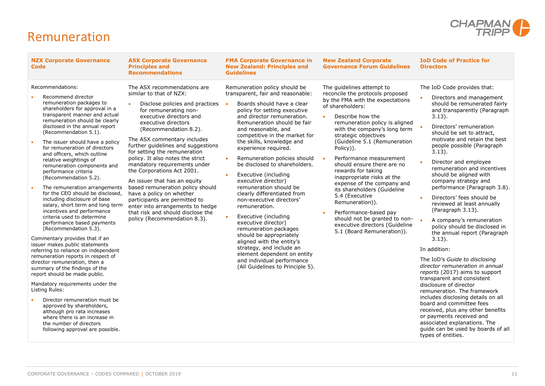

#### <span id="page-12-0"></span>Remuneration

| <b>NZX Corporate Governance</b><br><b>Code</b>                                                                                                                                                                                                                                                                                                                                                                                                                                                                                                                                                                                                                                                                                                                                                                                                                                                                                                                                                                                                                                                                                                                                                                       | <b>ASX Corporate Governance</b><br><b>Principles and</b><br><b>Recommendations</b>                                                                                                                                                                                                                                                                                                                                                                                                                                                                                                                                                             | <b>FMA Corporate Governance in</b><br><b>New Zealand: Principles and</b><br><b>Guidelines</b>                                                                                                                                                                                                                                                                                                                                                                                                                                                                                                                                                                                                                                                                                                 | <b>New Zealand Corporate</b><br><b>Governance Forum Guidelines</b>                                                                                                                                                                                                                                                                                                                                                                                                                                                                                                                                                        | <b>IoD Code of Practice for</b><br><b>Directors</b>                                                                                                                                                                                                                                                                                                                                                                                                                                                                                                                                                                                                                                                                                                                                                                                                                                                                                                                                                                                                     |
|----------------------------------------------------------------------------------------------------------------------------------------------------------------------------------------------------------------------------------------------------------------------------------------------------------------------------------------------------------------------------------------------------------------------------------------------------------------------------------------------------------------------------------------------------------------------------------------------------------------------------------------------------------------------------------------------------------------------------------------------------------------------------------------------------------------------------------------------------------------------------------------------------------------------------------------------------------------------------------------------------------------------------------------------------------------------------------------------------------------------------------------------------------------------------------------------------------------------|------------------------------------------------------------------------------------------------------------------------------------------------------------------------------------------------------------------------------------------------------------------------------------------------------------------------------------------------------------------------------------------------------------------------------------------------------------------------------------------------------------------------------------------------------------------------------------------------------------------------------------------------|-----------------------------------------------------------------------------------------------------------------------------------------------------------------------------------------------------------------------------------------------------------------------------------------------------------------------------------------------------------------------------------------------------------------------------------------------------------------------------------------------------------------------------------------------------------------------------------------------------------------------------------------------------------------------------------------------------------------------------------------------------------------------------------------------|---------------------------------------------------------------------------------------------------------------------------------------------------------------------------------------------------------------------------------------------------------------------------------------------------------------------------------------------------------------------------------------------------------------------------------------------------------------------------------------------------------------------------------------------------------------------------------------------------------------------------|---------------------------------------------------------------------------------------------------------------------------------------------------------------------------------------------------------------------------------------------------------------------------------------------------------------------------------------------------------------------------------------------------------------------------------------------------------------------------------------------------------------------------------------------------------------------------------------------------------------------------------------------------------------------------------------------------------------------------------------------------------------------------------------------------------------------------------------------------------------------------------------------------------------------------------------------------------------------------------------------------------------------------------------------------------|
| Recommendations:<br>Recommend director<br>remuneration packages to<br>shareholders for approval in a<br>transparent manner and actual<br>remuneration should be clearly<br>disclosed in the annual report<br>(Recommendation 5.1).<br>The issuer should have a policy<br>for remuneration of directors<br>and officers, which outline<br>relative weightings of<br>remuneration components and<br>performance criteria<br>(Recommendation 5.2).<br>The remuneration arrangements<br>for the CEO should be disclosed,<br>including disclosure of base<br>salary, short term and long term<br>incentives and performance<br>criteria used to determine<br>performance based payments<br>(Recommendation 5.3).<br>Commentary provides that if an<br>issuer makes public statements<br>referring to reliance on independent<br>remuneration reports in respect of<br>director remuneration, then a<br>summary of the findings of the<br>report should be made public.<br>Mandatory requirements under the<br>Listing Rules:<br>Director remuneration must be<br>approved by shareholders,<br>although pro rata increases<br>where there is an increase in<br>the number of directors<br>following approval are possible. | The ASX recommendations are<br>similar to that of NZX:<br>Disclose policies and practices<br>for remunerating non-<br>executive directors and<br>executive directors<br>(Recommendation 8.2).<br>The ASX commentary includes<br>further guidelines and suggestions<br>for setting the remuneration<br>policy. It also notes the strict<br>mandatory requirements under<br>the Corporations Act 2001.<br>An issuer that has an equity<br>based remuneration policy should<br>have a policy on whether<br>participants are permitted to<br>enter into arrangements to hedge<br>that risk and should disclose the<br>policy (Recommendation 8.3). | Remuneration policy should be<br>transparent, fair and reasonable:<br>Boards should have a clear<br>policy for setting executive<br>and director remuneration.<br>Remuneration should be fair<br>and reasonable, and<br>competitive in the market for<br>the skills, knowledge and<br>experience required.<br>Remuneration policies should<br>be disclosed to shareholders.<br>Executive (including<br>executive director)<br>remuneration should be<br>clearly differentiated from<br>non-executive directors'<br>remuneration.<br>Executive (including<br>executive director)<br>remuneration packages<br>should be appropriately<br>aligned with the entity's<br>strategy, and include an<br>element dependent on entity<br>and individual performance<br>(All Guidelines to Principle 5). | The guidelines attempt to<br>reconcile the protocols proposed<br>by the FMA with the expectations<br>of shareholders:<br>Describe how the<br>remuneration policy is aligned<br>with the company's long term<br>strategic objectives<br>(Guideline 5.1 (Remuneration<br>Policy)).<br>Performance measurement<br>should ensure there are no<br>rewards for taking<br>inappropriate risks at the<br>expense of the company and<br>its shareholders (Guideline<br>5.4 (Executive<br>Remuneration)).<br>Performance-based pay<br>should not be granted to non-<br>executive directors (Guideline<br>5.1 (Board Remuneration)). | The IoD Code provides that:<br>Directors and management<br>should be remunerated fairly<br>and transparently (Paragraph<br>$3.13$ ).<br>Directors' remuneration<br>should be set to attract,<br>motivate and retain the best<br>people possible (Paragraph<br>$3.13$ ).<br>Director and employee<br>remuneration and incentives<br>should be aligned with<br>company strategy and<br>performance (Paragraph 3.8).<br>Directors' fees should be<br>reviewed at least annually<br>(Paragraph 3.13).<br>A company's remuneration<br>policy should be disclosed in<br>the annual report (Paragraph<br>$3.13$ ).<br>In addition:<br>The IoD's Guide to disclosing<br>director remuneration in annual<br>reports (2017) aims to support<br>transparent and consistent<br>disclosure of director<br>remuneration. The framework<br>includes disclosing details on all<br>board and committee fees<br>received, plus any other benefits<br>or payments received and<br>associated explanations. The<br>guide can be used by boards of all<br>types of entities. |
|                                                                                                                                                                                                                                                                                                                                                                                                                                                                                                                                                                                                                                                                                                                                                                                                                                                                                                                                                                                                                                                                                                                                                                                                                      |                                                                                                                                                                                                                                                                                                                                                                                                                                                                                                                                                                                                                                                |                                                                                                                                                                                                                                                                                                                                                                                                                                                                                                                                                                                                                                                                                                                                                                                               |                                                                                                                                                                                                                                                                                                                                                                                                                                                                                                                                                                                                                           |                                                                                                                                                                                                                                                                                                                                                                                                                                                                                                                                                                                                                                                                                                                                                                                                                                                                                                                                                                                                                                                         |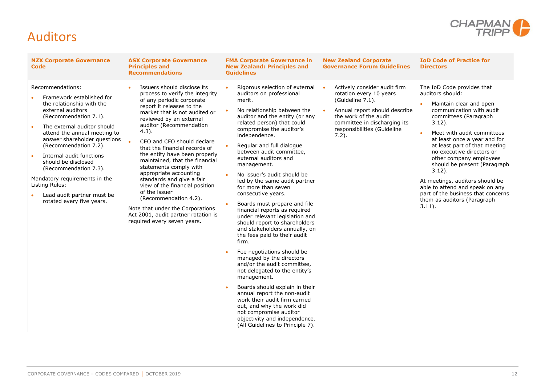

#### <span id="page-13-0"></span>Auditors

| <b>NZX Corporate Governance</b><br><b>Code</b>                                                                                                                                                                                                                                                                                                                                                                                             | <b>ASX Corporate Governance</b><br><b>Principles and</b><br><b>Recommendations</b>                                                                                                                                                                                                                                                                                                                                                                                                                                                                                                                                                   | <b>FMA Corporate Governance in</b><br><b>New Zealand: Principles and</b><br><b>Guidelines</b>                                                                                                                                                                                                                                                                                                                                                                                                                                                                                                                                                                                                                                                                                                                                                                                                                                                                                                                       | <b>New Zealand Corporate</b><br><b>Governance Forum Guidelines</b>                                                                                                                                               | <b>IoD Code of Practice for</b><br><b>Directors</b>                                                                                                                                                                                                                                                                                                                                                                                                                                                     |
|--------------------------------------------------------------------------------------------------------------------------------------------------------------------------------------------------------------------------------------------------------------------------------------------------------------------------------------------------------------------------------------------------------------------------------------------|--------------------------------------------------------------------------------------------------------------------------------------------------------------------------------------------------------------------------------------------------------------------------------------------------------------------------------------------------------------------------------------------------------------------------------------------------------------------------------------------------------------------------------------------------------------------------------------------------------------------------------------|---------------------------------------------------------------------------------------------------------------------------------------------------------------------------------------------------------------------------------------------------------------------------------------------------------------------------------------------------------------------------------------------------------------------------------------------------------------------------------------------------------------------------------------------------------------------------------------------------------------------------------------------------------------------------------------------------------------------------------------------------------------------------------------------------------------------------------------------------------------------------------------------------------------------------------------------------------------------------------------------------------------------|------------------------------------------------------------------------------------------------------------------------------------------------------------------------------------------------------------------|---------------------------------------------------------------------------------------------------------------------------------------------------------------------------------------------------------------------------------------------------------------------------------------------------------------------------------------------------------------------------------------------------------------------------------------------------------------------------------------------------------|
| Recommendations:<br>Framework established for<br>the relationship with the<br>external auditors<br>(Recommendation 7.1).<br>The external auditor should<br>attend the annual meeting to<br>answer shareholder questions<br>(Recommendation 7.2).<br>Internal audit functions<br>should be disclosed<br>(Recommendation 7.3).<br>Mandatory requirements in the<br>Listing Rules:<br>Lead audit partner must be<br>rotated every five years. | Issuers should disclose its<br>process to verify the integrity<br>of any periodic corporate<br>report it releases to the<br>market that is not audited or<br>reviewed by an external<br>auditor (Recommendation<br>$4.3$ ).<br>CEO and CFO should declare<br>that the financial records of<br>the entity have been properly<br>maintained, that the financial<br>statements comply with<br>appropriate accounting<br>standards and give a fair<br>view of the financial position<br>of the issuer<br>(Recommendation 4.2).<br>Note that under the Corporations<br>Act 2001, audit partner rotation is<br>required every seven years. | Rigorous selection of external<br>auditors on professional<br>merit.<br>No relationship between the<br>auditor and the entity (or any<br>related person) that could<br>compromise the auditor's<br>independence.<br>Regular and full dialogue<br>between audit committee,<br>external auditors and<br>management.<br>No issuer's audit should be<br>led by the same audit partner<br>for more than seven<br>consecutive years.<br>Boards must prepare and file<br>financial reports as required<br>under relevant legislation and<br>should report to shareholders<br>and stakeholders annually, on<br>the fees paid to their audit<br>firm.<br>Fee negotiations should be<br>managed by the directors<br>and/or the audit committee,<br>not delegated to the entity's<br>management.<br>Boards should explain in their<br>annual report the non-audit<br>work their audit firm carried<br>out, and why the work did<br>not compromise auditor<br>objectivity and independence.<br>(All Guidelines to Principle 7). | Actively consider audit firm<br>rotation every 10 years<br>(Guideline 7.1).<br>Annual report should describe<br>the work of the audit<br>committee in discharging its<br>responsibilities (Guideline<br>$7.2$ ). | The IoD Code provides that<br>auditors should:<br>Maintain clear and open<br>communication with audit<br>committees (Paragraph<br>$3.12$ ).<br>Meet with audit committees<br>at least once a year and for<br>at least part of that meeting<br>no executive directors or<br>other company employees<br>should be present (Paragraph<br>$3.12$ ).<br>At meetings, auditors should be<br>able to attend and speak on any<br>part of the business that concerns<br>them as auditors (Paragraph<br>$3.11$ ). |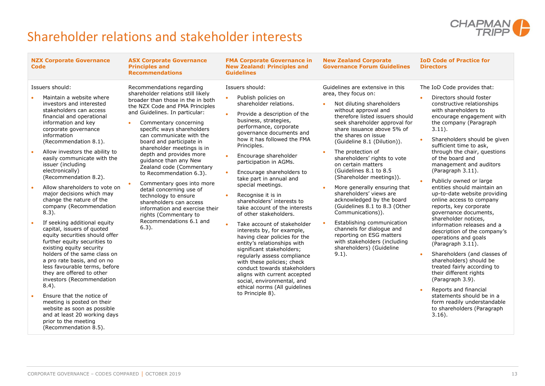

### <span id="page-14-0"></span>Shareholder relations and stakeholder interests

| <b>NZX Corporate Governance</b><br><b>Code</b>                                                                                                                                                                                                                                                                                                                                                                                                                                                                                                                                                                                                                                                                                                                                                                                                                                                                                                                                                                                   | <b>ASX Corporate Governance</b><br><b>Principles and</b><br><b>Recommendations</b>                                                                                                                                                                                                                                                                                                                                                                                                                                                                                                                                                                           | <b>FMA Corporate Governance in</b><br><b>New Zealand: Principles and</b><br><b>Guidelines</b>                                                                                                                                                                                                                                                                                                                                                                                                                                                                                                                                                                                                                                                                                                                                                                                                              | <b>New Zealand Corporate</b><br><b>Governance Forum Guidelines</b>                                                                                                                                                                                                                                                                                                                                                                                                                                                                                                                                                                                                                                                               | <b>IoD Code of Practice for</b><br><b>Directors</b>                                                                                                                                                                                                                                                                                                                                                                                                                                                                                                                                                                                                                                                                                                                                                                                                                                                                                                           |
|----------------------------------------------------------------------------------------------------------------------------------------------------------------------------------------------------------------------------------------------------------------------------------------------------------------------------------------------------------------------------------------------------------------------------------------------------------------------------------------------------------------------------------------------------------------------------------------------------------------------------------------------------------------------------------------------------------------------------------------------------------------------------------------------------------------------------------------------------------------------------------------------------------------------------------------------------------------------------------------------------------------------------------|--------------------------------------------------------------------------------------------------------------------------------------------------------------------------------------------------------------------------------------------------------------------------------------------------------------------------------------------------------------------------------------------------------------------------------------------------------------------------------------------------------------------------------------------------------------------------------------------------------------------------------------------------------------|------------------------------------------------------------------------------------------------------------------------------------------------------------------------------------------------------------------------------------------------------------------------------------------------------------------------------------------------------------------------------------------------------------------------------------------------------------------------------------------------------------------------------------------------------------------------------------------------------------------------------------------------------------------------------------------------------------------------------------------------------------------------------------------------------------------------------------------------------------------------------------------------------------|----------------------------------------------------------------------------------------------------------------------------------------------------------------------------------------------------------------------------------------------------------------------------------------------------------------------------------------------------------------------------------------------------------------------------------------------------------------------------------------------------------------------------------------------------------------------------------------------------------------------------------------------------------------------------------------------------------------------------------|---------------------------------------------------------------------------------------------------------------------------------------------------------------------------------------------------------------------------------------------------------------------------------------------------------------------------------------------------------------------------------------------------------------------------------------------------------------------------------------------------------------------------------------------------------------------------------------------------------------------------------------------------------------------------------------------------------------------------------------------------------------------------------------------------------------------------------------------------------------------------------------------------------------------------------------------------------------|
| Issuers should:<br>Maintain a website where<br>investors and interested<br>stakeholders can access<br>financial and operational<br>information and key<br>corporate governance<br>information<br>(Recommendation 8.1).<br>Allow investors the ability to<br>$\bullet$<br>easily communicate with the<br>issuer (including<br>electronically)<br>(Recommendation 8.2).<br>Allow shareholders to vote on<br>$\bullet$<br>major decisions which may<br>change the nature of the<br>company (Recommendation<br>$8.3$ ).<br>If seeking additional equity<br>capital, issuers of quoted<br>equity securities should offer<br>further equity securities to<br>existing equity security<br>holders of the same class on<br>a pro rate basis, and on no<br>less favourable terms, before<br>they are offered to other<br>investors (Recommendation<br>$8.4$ ).<br>Ensure that the notice of<br>meeting is posted on their<br>website as soon as possible<br>and at least 20 working days<br>prior to the meeting<br>(Recommendation 8.5). | Recommendations regarding<br>shareholder relations still likely<br>broader than those in the in both<br>the NZX Code and FMA Principles<br>and Guidelines. In particular:<br>Commentary concerning<br>$\bullet$<br>specific ways shareholders<br>can communicate with the<br>board and participate in<br>shareholder meetings is in<br>depth and provides more<br>guidance than any New<br>Zealand code (Commentary<br>to Recommendation 6.3).<br>Commentary goes into more<br>detail concerning use of<br>technology to ensure<br>shareholders can access<br>information and exercise their<br>rights (Commentary to<br>Recommendations 6.1 and<br>$6.3$ ). | Issuers should:<br>Publish policies on<br>$\bullet$<br>shareholder relations.<br>Provide a description of the<br>$\bullet$<br>business, strategies,<br>performance, corporate<br>governance documents and<br>how it has followed the FMA<br>Principles.<br>Encourage shareholder<br>participation in AGMs.<br>Encourage shareholders to<br>take part in annual and<br>special meetings.<br>Recognise it is in<br>$\bullet$<br>shareholders' interests to<br>take account of the interests<br>of other stakeholders.<br>Take account of stakeholder<br>$\bullet$<br>interests by, for example,<br>having clear policies for the<br>entity's relationships with<br>significant stakeholders;<br>regularly assess compliance<br>with these policies; check<br>conduct towards stakeholders<br>aligns with current accepted<br>social, environmental, and<br>ethical norms (All guidelines<br>to Principle 8). | Guidelines are extensive in this<br>area, they focus on:<br>Not diluting shareholders<br>without approval and<br>therefore listed issuers should<br>seek shareholder approval for<br>share issuance above 5% of<br>the shares on issue<br>(Guideline 8.1 (Dilution)).<br>The protection of<br>$\bullet$<br>shareholders' rights to vote<br>on certain matters<br>(Guidelines 8.1 to 8.5<br>(Shareholder meetings)).<br>More generally ensuring that<br>shareholders' views are<br>acknowledged by the board<br>(Guidelines 8.1 to 8.3 (Other<br>Communications)).<br>Establishing communication<br>channels for dialogue and<br>reporting on ESG matters<br>with stakeholders (including<br>shareholders) (Guideline<br>$9.1$ ). | The IoD Code provides that:<br>Directors should foster<br>constructive relationships<br>with shareholders to<br>encourage engagement with<br>the company (Paragraph<br>$3.11$ ).<br>Shareholders should be given<br>$\bullet$<br>sufficient time to ask,<br>through the chair, questions<br>of the board and<br>management and auditors<br>(Paragraph 3.11).<br>Publicly owned or large<br>entities should maintain an<br>up-to-date website providing<br>online access to company<br>reports, key corporate<br>governance documents,<br>shareholder notices,<br>information releases and a<br>description of the company's<br>operations and goals<br>(Paragraph 3.11).<br>Shareholders (and classes of<br>$\bullet$<br>shareholders) should be<br>treated fairly according to<br>their different rights<br>(Paragraph 3.9).<br>Reports and financial<br>statements should be in a<br>form readily understandable<br>to shareholders (Paragraph<br>$3.16$ ). |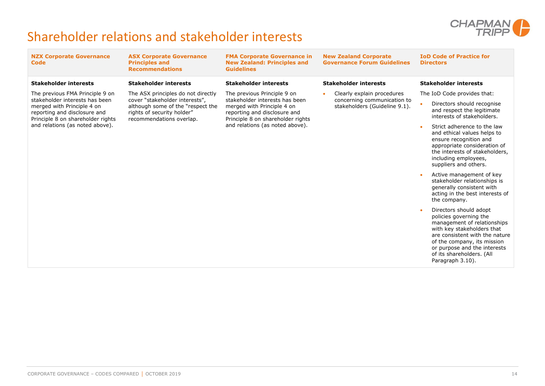

### Shareholder relations and stakeholder interests

| <b>NZX Corporate Governance</b><br><b>Code</b>                                                                                                                                                          | <b>ASX Corporate Governance</b><br><b>Principles and</b><br><b>Recommendations</b>                                                                                  | <b>FMA Corporate Governance in</b><br><b>New Zealand: Principles and</b><br><b>Guidelines</b>                                                                                                       | <b>New Zealand Corporate</b><br><b>Governance Forum Guidelines</b> | <b>IoD Code of Practice for</b><br><b>Directors</b>                                                                                                                                                                                                             |
|---------------------------------------------------------------------------------------------------------------------------------------------------------------------------------------------------------|---------------------------------------------------------------------------------------------------------------------------------------------------------------------|-----------------------------------------------------------------------------------------------------------------------------------------------------------------------------------------------------|--------------------------------------------------------------------|-----------------------------------------------------------------------------------------------------------------------------------------------------------------------------------------------------------------------------------------------------------------|
| <b>Stakeholder interests</b>                                                                                                                                                                            | <b>Stakeholder interests</b>                                                                                                                                        | <b>Stakeholder interests</b>                                                                                                                                                                        | <b>Stakeholder interests</b>                                       | <b>Stakeholder interests</b>                                                                                                                                                                                                                                    |
| The previous FMA Principle 9 on<br>stakeholder interests has been<br>merged with Principle 4 on<br>reporting and disclosure and<br>Principle 8 on shareholder rights<br>and relations (as noted above). | The ASX principles do not directly<br>cover "stakeholder interests",<br>although some of the "respect the<br>rights of security holder"<br>recommendations overlap. | The previous Principle 9 on<br>stakeholder interests has been<br>merged with Principle 4 on<br>reporting and disclosure and<br>Principle 8 on shareholder rights<br>and relations (as noted above). | Clearly explain procedures                                         | The IoD Code provides that:                                                                                                                                                                                                                                     |
|                                                                                                                                                                                                         |                                                                                                                                                                     |                                                                                                                                                                                                     | concerning communication to<br>stakeholders (Guideline 9.1).       | Directors should recognise<br>and respect the legitimate<br>interests of stakeholders.                                                                                                                                                                          |
|                                                                                                                                                                                                         |                                                                                                                                                                     |                                                                                                                                                                                                     |                                                                    | Strict adherence to the law<br>and ethical values helps to<br>ensure recognition and<br>appropriate consideration of<br>the interests of stakeholders,<br>including employees,<br>suppliers and others.                                                         |
|                                                                                                                                                                                                         |                                                                                                                                                                     |                                                                                                                                                                                                     |                                                                    | Active management of key<br>stakeholder relationships is<br>generally consistent with<br>acting in the best interests of<br>the company.                                                                                                                        |
|                                                                                                                                                                                                         |                                                                                                                                                                     |                                                                                                                                                                                                     |                                                                    | Directors should adopt<br>policies governing the<br>management of relationships<br>with key stakeholders that<br>are consistent with the nature<br>of the company, its mission<br>or purpose and the interests<br>of its shareholders. (All<br>Paragraph 3.10). |
|                                                                                                                                                                                                         |                                                                                                                                                                     |                                                                                                                                                                                                     |                                                                    |                                                                                                                                                                                                                                                                 |